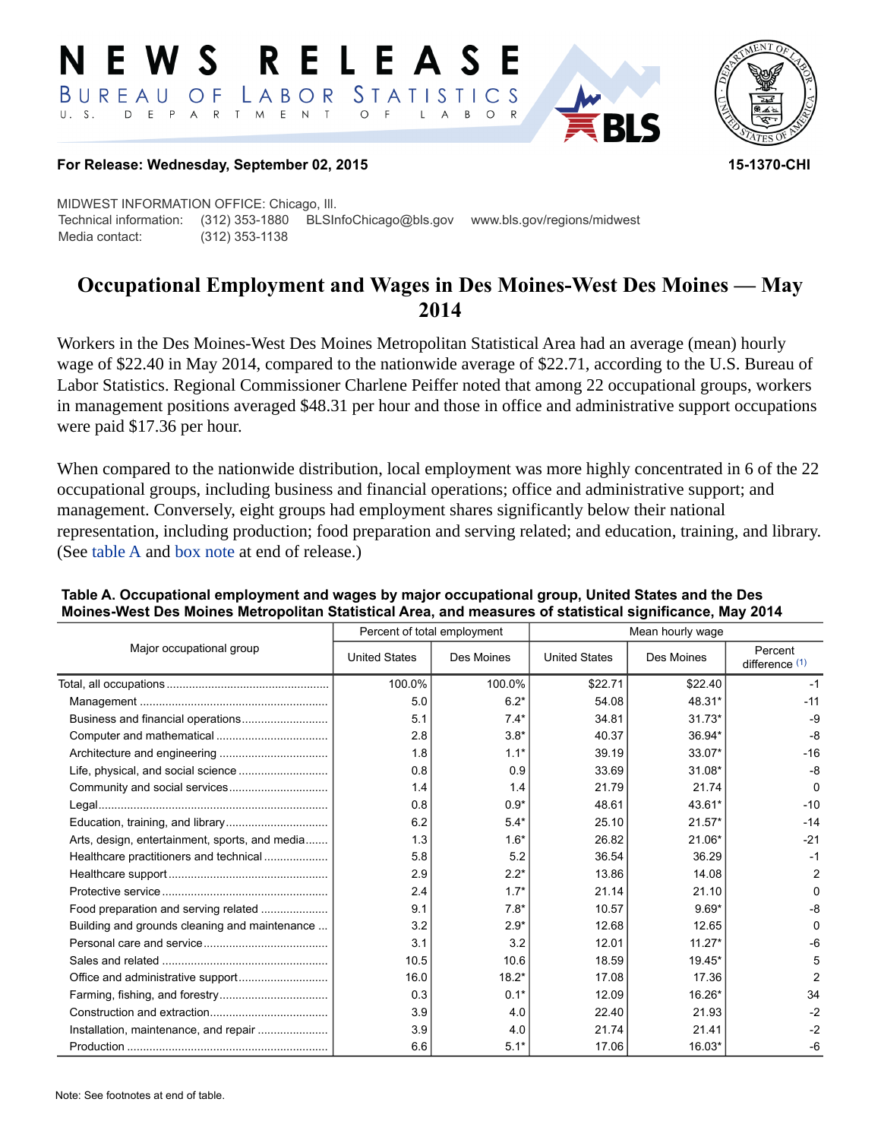#### RELEASE E W S LABOR STATISTICS BUREAU OF D E P A R T M E N T  $\circ$  $U. S.$  $\overline{F}$  $\mathsf{L}$  $\overline{A}$  $B$  $\circ$



## **For Release: Wednesday, September 02, 2015 15-1370-CHI**

MIDWEST INFORMATION OFFICE: Chicago, Ill. Technical information: (312) 353-1880 BLSInfoChicago@bls.gov www.bls.gov/regions/midwest Media contact: (312) 353-1138

# **Occupational Employment and Wages in Des Moines-West Des Moines — May 2014**

Workers in the Des Moines-West Des Moines Metropolitan Statistical Area had an average (mean) hourly wage of \$22.40 in May 2014, compared to the nationwide average of \$22.71, according to the U.S. Bureau of Labor Statistics. Regional Commissioner Charlene Peiffer noted that among 22 occupational groups, workers in management positions averaged \$48.31 per hour and those in office and administrative support occupations were paid \$17.36 per hour.

When compared to the nationwide distribution, local employment was more highly concentrated in 6 of the 22 occupational groups, including business and financial operations; office and administrative support; and management. Conversely, eight groups had employment shares significantly below their national representation, including production; food preparation and serving related; and education, training, and library. (See table A and [box note](#page-1-0) at end of release.)

| Major occupational group                       |                      | Percent of total employment | Mean hourly wage     |            |                           |  |
|------------------------------------------------|----------------------|-----------------------------|----------------------|------------|---------------------------|--|
|                                                | <b>United States</b> | Des Moines                  | <b>United States</b> | Des Moines | Percent<br>difference (1) |  |
|                                                | 100.0%               | 100.0%                      | \$22.71              | \$22.40    | $-1$                      |  |
|                                                | 5.0                  | $6.2*$                      | 54.08                | 48.31*     | $-11$                     |  |
|                                                | 5.1                  | $7.4*$                      | 34.81                | $31.73*$   | $-9$                      |  |
|                                                | 2.8                  | $3.8*$                      | 40.37                | 36.94*     | $-8$                      |  |
|                                                | 1.8                  | $1.1*$                      | 39.19                | 33.07*     | $-16$                     |  |
|                                                | 0.8                  | 0.9                         | 33.69                | $31.08*$   | $-8$                      |  |
|                                                | 1.4                  | 1.4                         | 21.79                | 21.74      | $\Omega$                  |  |
|                                                | 0.8                  | $0.9*$                      | 48.61                | 43.61*     | $-10$                     |  |
|                                                | 6.2                  | $5.4*$                      | 25.10                | $21.57*$   | $-14$                     |  |
| Arts, design, entertainment, sports, and media | 1.3                  | $1.6*$                      | 26.82                | 21.06*     | $-21$                     |  |
| Healthcare practitioners and technical         | 5.8                  | 5.2                         | 36.54                | 36.29      | $-1$                      |  |
|                                                | 2.9                  | $2.2*$                      | 13.86                | 14.08      | $\overline{2}$            |  |
|                                                | 2.4                  | $1.7*$                      | 21.14                | 21.10      | ŋ                         |  |
| Food preparation and serving related           | 9.1                  | $7.8*$                      | 10.57                | $9.69*$    | -8                        |  |
| Building and grounds cleaning and maintenance  | 3.2                  | $2.9*$                      | 12.68                | 12.65      | O                         |  |
|                                                | 3.1                  | 3.2                         | 12.01                | $11.27*$   | -6                        |  |
|                                                | 10.5                 | 10.6                        | 18.59                | $19.45*$   | 5                         |  |
|                                                | 16.0                 | $18.2*$                     | 17.08                | 17.36      | $\overline{2}$            |  |
|                                                | 0.3                  | $0.1*$                      | 12.09                | 16.26*     | 34                        |  |
|                                                | 3.9                  | 4.0                         | 22.40                | 21.93      | $-2$                      |  |
| Installation, maintenance, and repair          | 3.9                  | 4.0                         | 21.74                | 21.41      | $-2$                      |  |
|                                                | 6.6                  | $5.1*$                      | 17.06                | 16.03*     | $-6$                      |  |

## **Table A. Occupational employment and wages by major occupational group, United States and the Des Moines-West Des Moines Metropolitan Statistical Area, and measures of statistical significance, May 2014**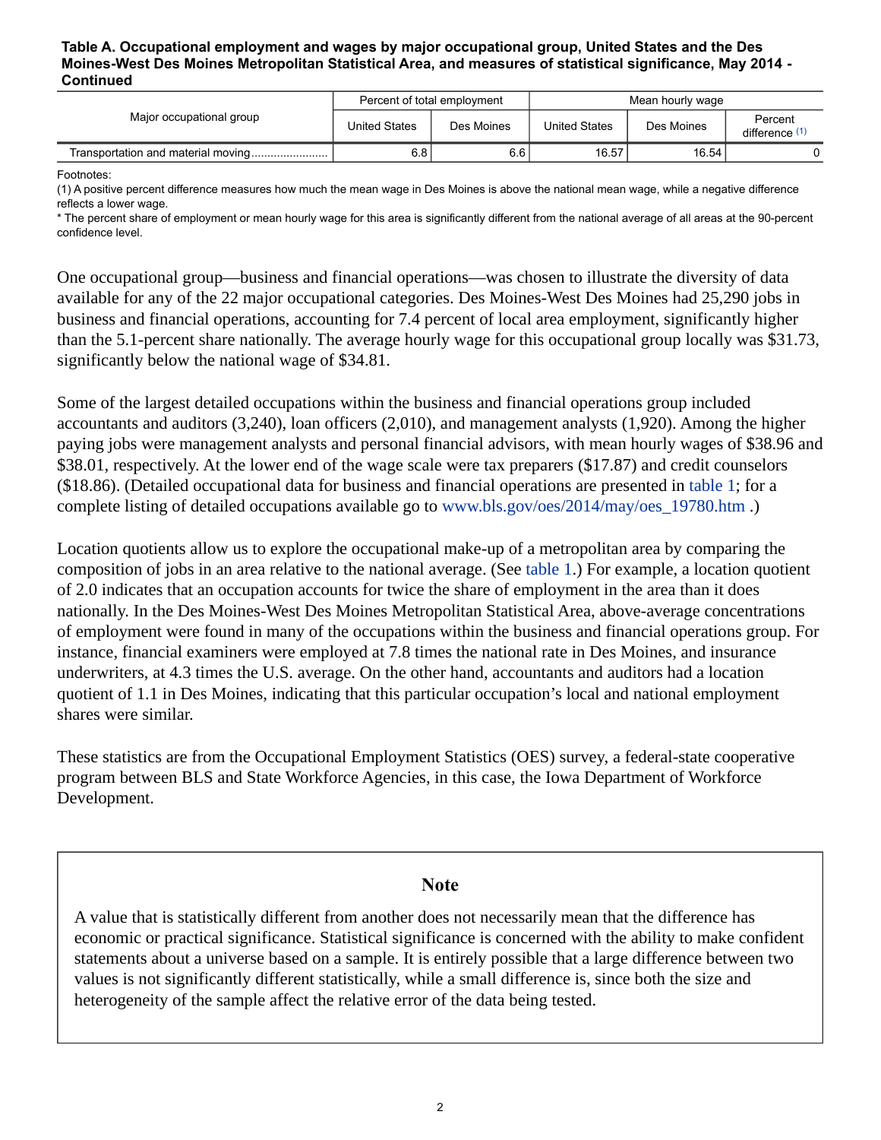#### **Table A. Occupational employment and wages by major occupational group, United States and the Des Moines-West Des Moines Metropolitan Statistical Area, and measures of statistical significance, May 2014 - Continued**

| Major occupational group | Percent of total employment |            | Mean hourly wage     |            |                           |
|--------------------------|-----------------------------|------------|----------------------|------------|---------------------------|
|                          | <b>United States</b>        | Des Moines | <b>United States</b> | Des Moines | Percent<br>difference (1) |
|                          | 6.8                         | 6.6        | 16.57                | 16.54      |                           |

Footnotes:

<span id="page-1-1"></span>(1) A positive percent difference measures how much the mean wage in Des Moines is above the national mean wage, while a negative difference reflects a lower wage.

\* The percent share of employment or mean hourly wage for this area is significantly different from the national average of all areas at the 90-percent confidence level.

One occupational group—business and financial operations—was chosen to illustrate the diversity of data available for any of the 22 major occupational categories. Des Moines-West Des Moines had 25,290 jobs in business and financial operations, accounting for 7.4 percent of local area employment, significantly higher than the 5.1-percent share nationally. The average hourly wage for this occupational group locally was \$31.73, significantly below the national wage of \$34.81.

Some of the largest detailed occupations within the business and financial operations group included accountants and auditors (3,240), loan officers (2,010), and management analysts (1,920). Among the higher paying jobs were management analysts and personal financial advisors, with mean hourly wages of \$38.96 and \$38.01, respectively. At the lower end of the wage scale were tax preparers (\$17.87) and credit counselors (\$18.86). (Detailed occupational data for business and financial operations are presented in table 1; for a complete listing of detailed occupations available go to [www.bls.gov/oes/2014/may/oes\\_19780.htm](https://www.bls.gov/oes/2014/may/oes_19780.htm) .)

Location quotients allow us to explore the occupational make-up of a metropolitan area by comparing the composition of jobs in an area relative to the national average. (See table 1.) For example, a location quotient of 2.0 indicates that an occupation accounts for twice the share of employment in the area than it does nationally. In the Des Moines-West Des Moines Metropolitan Statistical Area, above-average concentrations of employment were found in many of the occupations within the business and financial operations group. For instance, financial examiners were employed at 7.8 times the national rate in Des Moines, and insurance underwriters, at 4.3 times the U.S. average. On the other hand, accountants and auditors had a location quotient of 1.1 in Des Moines, indicating that this particular occupation's local and national employment shares were similar.

These statistics are from the Occupational Employment Statistics (OES) survey, a federal-state cooperative program between BLS and State Workforce Agencies, in this case, the Iowa Department of Workforce Development.

## **Note**

<span id="page-1-0"></span>A value that is statistically different from another does not necessarily mean that the difference has economic or practical significance. Statistical significance is concerned with the ability to make confident statements about a universe based on a sample. It is entirely possible that a large difference between two values is not significantly different statistically, while a small difference is, since both the size and heterogeneity of the sample affect the relative error of the data being tested.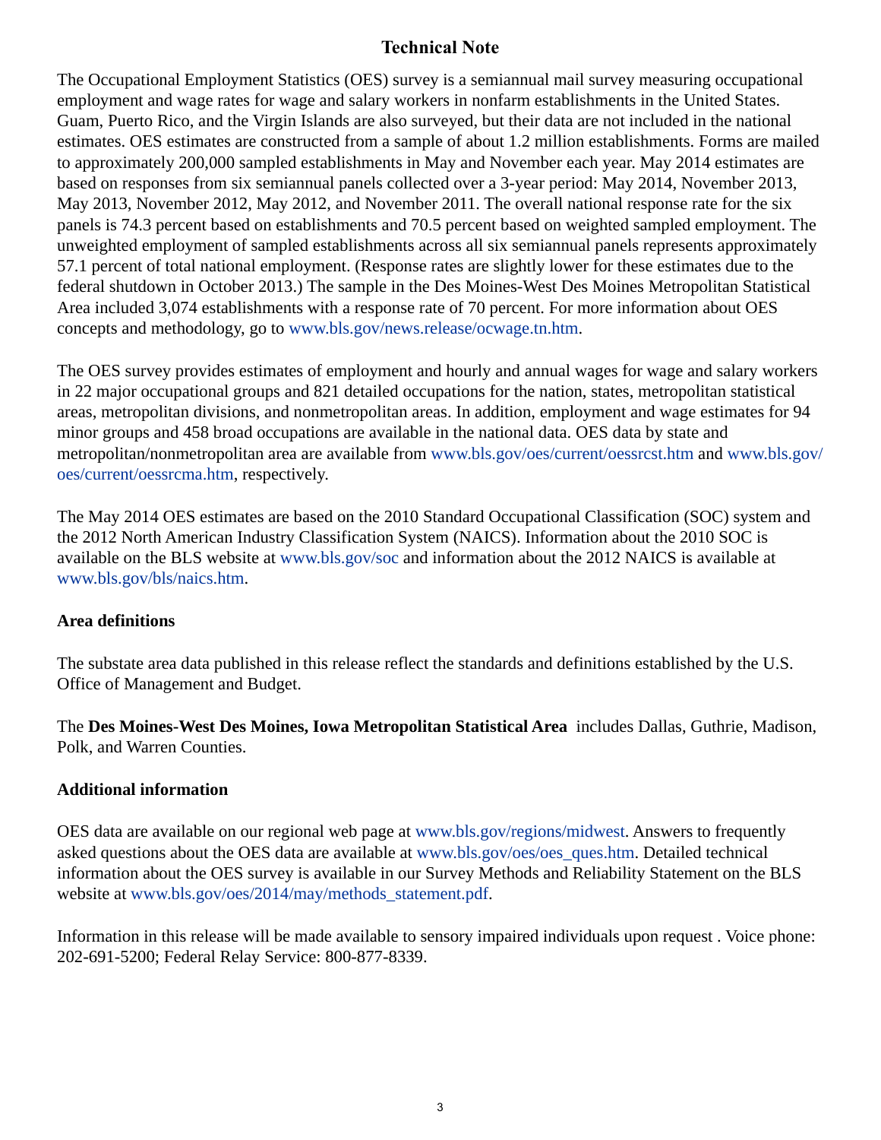# **Technical Note**

The Occupational Employment Statistics (OES) survey is a semiannual mail survey measuring occupational employment and wage rates for wage and salary workers in nonfarm establishments in the United States. Guam, Puerto Rico, and the Virgin Islands are also surveyed, but their data are not included in the national estimates. OES estimates are constructed from a sample of about 1.2 million establishments. Forms are mailed to approximately 200,000 sampled establishments in May and November each year. May 2014 estimates are based on responses from six semiannual panels collected over a 3-year period: May 2014, November 2013, May 2013, November 2012, May 2012, and November 2011. The overall national response rate for the six panels is 74.3 percent based on establishments and 70.5 percent based on weighted sampled employment. The unweighted employment of sampled establishments across all six semiannual panels represents approximately 57.1 percent of total national employment. (Response rates are slightly lower for these estimates due to the federal shutdown in October 2013.) The sample in the Des Moines-West Des Moines Metropolitan Statistical Area included 3,074 establishments with a response rate of 70 percent. For more information about OES concepts and methodology, go to [www.bls.gov/news.release/ocwage.tn.htm](https://www.bls.gov/news.release/ocwage.tn.htm).

The OES survey provides estimates of employment and hourly and annual wages for wage and salary workers in 22 major occupational groups and 821 detailed occupations for the nation, states, metropolitan statistical areas, metropolitan divisions, and nonmetropolitan areas. In addition, employment and wage estimates for 94 minor groups and 458 broad occupations are available in the national data. OES data by state and metropolitan/nonmetropolitan area are available from [www.bls.gov/oes/current/oessrcst.htm](https://www.bls.gov/oes/current/oessrcst.htm) and [www.bls.gov/](https://www.bls.gov/oes/current/oessrcma.htm) [oes/current/oessrcma.htm,](https://www.bls.gov/oes/current/oessrcma.htm) respectively.

The May 2014 OES estimates are based on the 2010 Standard Occupational Classification (SOC) system and the 2012 North American Industry Classification System (NAICS). Information about the 2010 SOC is available on the BLS website at [www.bls.gov/soc](https://www.bls.gov/soc) and information about the 2012 NAICS is available at [www.bls.gov/bls/naics.htm.](https://www.bls.gov/bls/naics.htm)

## **Area definitions**

The substate area data published in this release reflect the standards and definitions established by the U.S. Office of Management and Budget.

The **Des Moines-West Des Moines, Iowa Metropolitan Statistical Area** includes Dallas, Guthrie, Madison, Polk, and Warren Counties.

## **Additional information**

OES data are available on our regional web page at [www.bls.gov/regions/midwest](https://www.bls.gov/regions/midwest). Answers to frequently asked questions about the OES data are available at [www.bls.gov/oes/oes\\_ques.htm](https://www.bls.gov/oes/oes_ques.htm). Detailed technical information about the OES survey is available in our Survey Methods and Reliability Statement on the BLS website at [www.bls.gov/oes/2014/may/methods\\_statement.pdf.](https://www.bls.gov/oes/2014/may/methods_statement.pdf)

Information in this release will be made available to sensory impaired individuals upon request . Voice phone: 202-691-5200; Federal Relay Service: 800-877-8339.